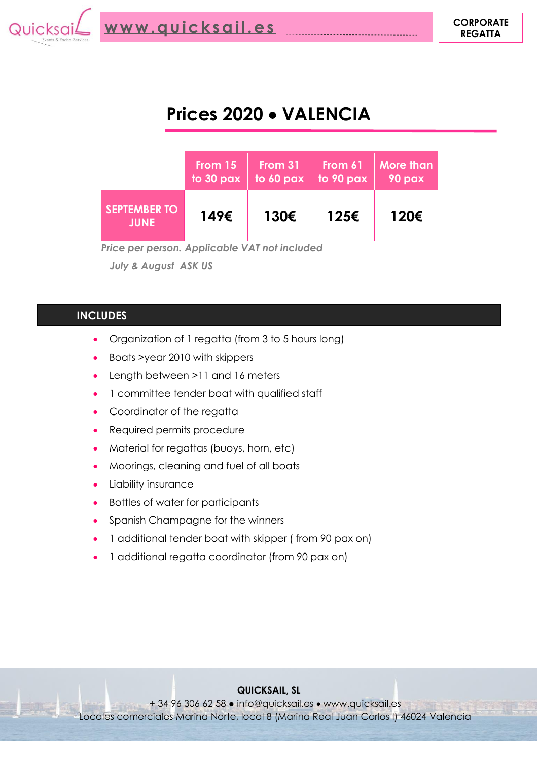

# **Prices 2020** • **VALENCIA**

|                                    | From 15   | From 31   | From 61   | <b>More than</b> |
|------------------------------------|-----------|-----------|-----------|------------------|
|                                    | to 30 pax | to 60 pax | to 90 pax | 90 pax           |
| <b>SEPTEMBER TO</b><br><b>JUNE</b> | 149€      | 130€      | 125€      | 120€             |

 *Price per person. Applicable VAT not included*

 *July & August ASK US* 

### **INCLUDES**

- Organization of 1 regatta (from 3 to 5 hours long)
- Boats >year 2010 with skippers
- Length between >11 and 16 meters
- 1 committee tender boat with qualified staff
- Coordinator of the regatta
- Required permits procedure
- Material for regattas (buoys, horn, etc)
- Moorings, cleaning and fuel of all boats
- Liability insurance
- Bottles of water for participants
- Spanish Champagne for the winners
- 1 additional tender boat with skipper ( from 90 pax on)
- 1 additional regatta coordinator (from 90 pax on)

#### **QUICKSAIL, SL**

+ 34 96 306 62 58 ● info@quicksail.es • www.quicksail.es Locales comerciales Marina Norte, local 8 (Marina Real Juan Carlos I) 46024 Valencia